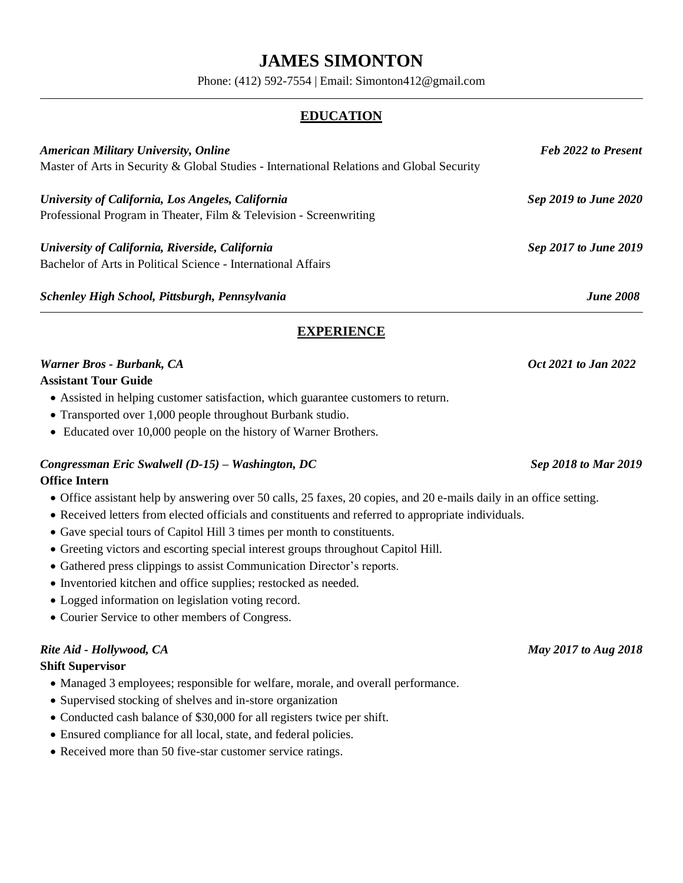# **JAMES SIMONTON**

Phone: (412) 592-7554 | Email: Simonton412@gmail.com

## **EDUCATION**

| <b>American Military University, Online</b><br>Master of Arts in Security & Global Studies - International Relations and Global Security | <b>Feb 2022 to Present</b> |
|------------------------------------------------------------------------------------------------------------------------------------------|----------------------------|
|                                                                                                                                          |                            |
| Professional Program in Theater, Film & Television - Screenwriting                                                                       |                            |
| University of California, Riverside, California                                                                                          | Sep 2017 to June 2019      |
| Bachelor of Arts in Political Science - International Affairs                                                                            |                            |
| Schenley High School, Pittsburgh, Pennsylvania                                                                                           | <b>June 2008</b>           |

## **EXPERIENCE**

## *Narner Bros* - *Burbank, CA* Oct 2021 *to Jan* 2022

### **Assistant Tour Guide**

- Assisted in helping customer satisfaction, which guarantee customers to return.
- Transported over 1,000 people throughout Burbank studio.
- Educated over 10,000 people on the history of Warner Brothers.

### *Congressman Eric Swalwell (D-15) – Washington, DC Sep 2018 to Mar 2019*

### **Office Intern**

- Office assistant help by answering over 50 calls, 25 faxes, 20 copies, and 20 e-mails daily in an office setting.
- Received letters from elected officials and constituents and referred to appropriate individuals.
- Gave special tours of Capitol Hill 3 times per month to constituents.
- Greeting victors and escorting special interest groups throughout Capitol Hill.
- Gathered press clippings to assist Communication Director's reports.
- Inventoried kitchen and office supplies; restocked as needed.
- Logged information on legislation voting record.
- Courier Service to other members of Congress.

## *Rite Aid - Hollywood, CA May 2017 to Aug 2018*

### **Shift Supervisor**

- Managed 3 employees; responsible for welfare, morale, and overall performance.
- Supervised stocking of shelves and in-store organization
- Conducted cash balance of \$30,000 for all registers twice per shift.
- Ensured compliance for all local, state, and federal policies.
- Received more than 50 five-star customer service ratings.